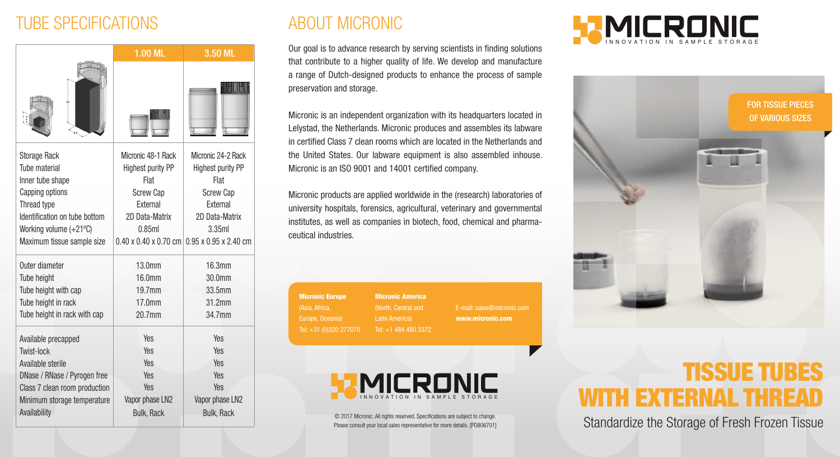## TUBE SPECIFICATIONS

|                               | 1.00 ML                           | 3.50 ML                           |
|-------------------------------|-----------------------------------|-----------------------------------|
|                               |                                   |                                   |
| <b>Storage Rack</b>           | Micronic 48-1 Rack                | Micronic 24-2 Rack                |
| Tube material                 | <b>Highest purity PP</b>          | Highest purity PP                 |
| Inner tube shape              | Flat                              | Flat                              |
| Capping options               | <b>Screw Cap</b>                  | <b>Screw Cap</b>                  |
| Thread type                   | External                          | External                          |
| Identification on tube bottom | 2D Data-Matrix                    | 2D Data-Matrix                    |
| Working volume (+21°C)        | 0.85ml                            | 3.35ml                            |
| Maximum tissue sample size    | $0.40 \times 0.40 \times 0.70$ cm | $0.95 \times 0.95 \times 2.40$ cm |
| Outer diameter                | 13.0mm                            | 16.3mm                            |
| Tube height                   | 16.0mm                            | $30.0$ mm                         |
| Tube height with cap          | 19.7mm                            | 33.5mm                            |
| Tube height in rack           | 17.0mm                            | 31.2mm                            |
| Tube height in rack with cap  | 20.7mm                            | 34.7mm                            |
| Available precapped           | Yes                               | <b>Yes</b>                        |
| Twist-lock                    | Yes                               | Yes                               |
| Available sterile             | <b>Yes</b>                        | <b>Yes</b>                        |
| DNase / RNase / Pyrogen free  | Yes                               | <b>Yes</b>                        |
| Class 7 clean room production | Yes                               | Yes                               |
| Minimum storage temperature   | Vapor phase LN2                   | Vapor phase LN2                   |
| Availability                  | <b>Bulk, Rack</b>                 | <b>Bulk, Rack</b>                 |
|                               |                                   |                                   |

## ABOUT MICRONIC

Our goal is to advance research by serving scientists in finding solutions that contribute to a higher quality of life. We develop and manufacture a range of Dutch-designed products to enhance the process of sample preservation and storage.

Micronic is an independent organization with its headquarters located in Lelystad, the Netherlands. Micronic produces and assembles its labware in certified Class 7 clean rooms which are located in the Netherlands and the United States. Our labware equipment is also assembled inhouse. Micronic is an ISO 9001 and 14001 certified company.

Micronic products are applied worldwide in the (research) laboratories of university hospitals, forensics, agricultural, veterinary and governmental institutes, as well as companies in biotech, food, chemical and pharmaceutical industries.

Micronic Europe (Asia, Africa, Europe, Oceania) Tel: +31 (0)320 277070 Micronic America (North, Central and

Tel: +1 484 480 3372 www.micronic.com



© 2017 Micronic. All rights reserved. Specifications are subject to change. Please consult your local sales representative for more details. [PD806701]





# TISSUE TUBES WITH EXTERNAL THREAD

Standardize the Storage of Fresh Frozen Tissue